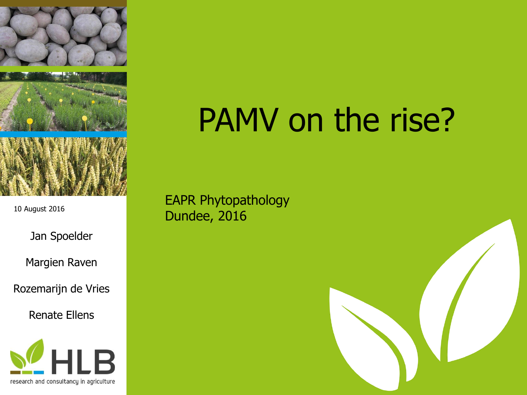

10 August 2016

Jan Spoelder

Margien Raven

Rozemarijn de Vries

Renate Ellens



# PAMV on the rise?

EAPR Phytopathology Dundee, 2016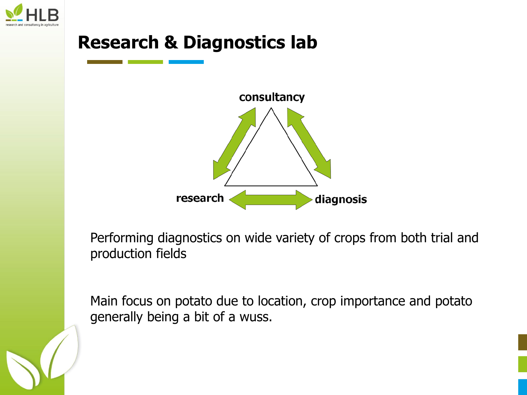



Performing diagnostics on wide variety of crops from both trial and production fields

Main focus on potato due to location, crop importance and potato generally being a bit of a wuss.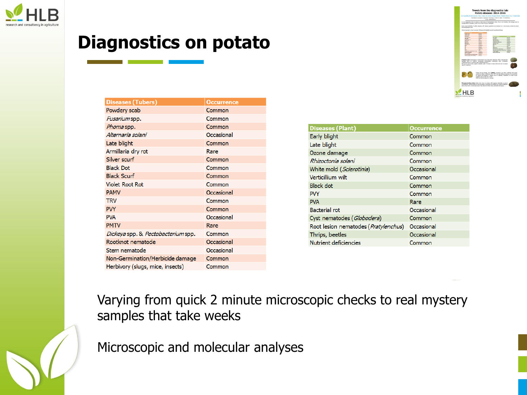

## **Diagnostics on potato**

|                                                                                          |                                                                      | Hill Separate & Completion in Auto Aure - Services 27 - 1418 10 - Struct - The Automobile<br>Cornell constructions of                                                                                                                                                          |                                |
|------------------------------------------------------------------------------------------|----------------------------------------------------------------------|--------------------------------------------------------------------------------------------------------------------------------------------------------------------------------------------------------------------------------------------------------------------------------|--------------------------------|
| succeptibility to diseases, curanty with create citizy are investigate.                  |                                                                      | In our disgnostics lab we neather a wide array of semptomatic crean. One to our location, the acrosps and its                                                                                                                                                                  |                                |
|                                                                                          |                                                                      | Every year, hundreds of putato species with vaning oyesubane are cealeded on a microscope, custodian and/or                                                                                                                                                                    |                                |
| chromatographic level.                                                                   |                                                                      |                                                                                                                                                                                                                                                                                |                                |
| There was ensured a short authorized flashest and highlight second authorizing flashess. |                                                                      |                                                                                                                                                                                                                                                                                |                                |
|                                                                                          |                                                                      |                                                                                                                                                                                                                                                                                |                                |
| <b>Turales</b> assis                                                                     | <b>Farmer</b>                                                        |                                                                                                                                                                                                                                                                                |                                |
| Executive<br><b>PURSUE</b>                                                               | 5-<br><b>SHOW</b>                                                    |                                                                                                                                                                                                                                                                                |                                |
| <b>General View</b>                                                                      | <b>Seate</b>                                                         | <b>Carls Intern</b>                                                                                                                                                                                                                                                            | $rac{1}{2}$                    |
| late state                                                                               | Group                                                                | Lewiston                                                                                                                                                                                                                                                                       | Conner                         |
| <b>BARNA BARN</b>                                                                        | <b>Sec</b>                                                           | <b>Room demain</b>                                                                                                                                                                                                                                                             | Telefak                        |
| <b>National</b><br><b>Back Street</b>                                                    | <b>Service</b><br>$\sim$                                             | <b>Museuman autor:</b>                                                                                                                                                                                                                                                         | Georgia                        |
| <b>Best Book</b>                                                                         | Commer                                                               | <b>King Lut I America</b><br><b>WEBSITE</b>                                                                                                                                                                                                                                    | <b>Domesto</b><br><b>COLOR</b> |
| <b>Tolet Road Ave</b>                                                                    | <b>County</b>                                                        | <b>Bandy</b>                                                                                                                                                                                                                                                                   | <b>COUNTY</b>                  |
| <b>MAG</b>                                                                               | <b>No service</b>                                                    | m                                                                                                                                                                                                                                                                              | <b>Contract</b>                |
| ≈                                                                                        | <b>Country</b>                                                       | m                                                                                                                                                                                                                                                                              | Aer.                           |
| $\sim$<br>×.                                                                             | <b>General</b><br><b>Turning</b>                                     | <b>Belteran Lat</b>                                                                                                                                                                                                                                                            | <b>CALIFORNIA</b>              |
| <b>AFRIC</b>                                                                             | April 13                                                             | Customersmake Information"<br><b>Seat injury security by Mandeville</b>                                                                                                                                                                                                        | Course.<br>Gregory             |
| <b>Distanzano &amp; Ave</b>                                                              | <b>Designed</b>                                                      | <b>Philad Barbara</b>                                                                                                                                                                                                                                                          | <b>TANAGE</b>                  |
| <b>Subine tendor</b>                                                                     | <b>Departure</b>                                                     | <b>Number of contact</b>                                                                                                                                                                                                                                                       | <b>Connect</b>                 |
| <b>Band and Arts</b>                                                                     | <b>Announced</b>                                                     |                                                                                                                                                                                                                                                                                |                                |
| <b>Britainness Period School</b><br><b>Boltony Juga 198 meter</b>                        | <b>Service</b><br><b>Service</b>                                     |                                                                                                                                                                                                                                                                                |                                |
|                                                                                          |                                                                      | Powdery scale Cicongogans subtimizined is very frequently observed. Often containt with                                                                                                                                                                                        |                                |
|                                                                                          |                                                                      | donate line to noticer annation (Ministeger clubscast), stew rematades<br>Tell much can be done againd, powders scali: it occurs in many scib and has no leveur.                                                                                                               |                                |
| (Differential and an experiency teach (Simunifermanearus).)<br>specific tourieurs.       | tagether with singest P/1 or P/H.<br>DIM/oyeahers separat is shroom. | Prints Assula Nogac, UKA (PAME) avectors are often contact with Expe-<br>caused by calcum chifesens. This BHTV and her blight-surrotone. It is transferred<br>by aplitik and rargims a helping virus to replicate. Therefore it is often found                                 |                                |
|                                                                                          |                                                                      | New excessive the others after hour learn in matter with resolute backinton or wwast<br>supermants, there is forest of not can access thousands are difficult to connectly disances<br>Aug to brechovely of charmingly Denny than detection deal) being patentially duranties. |                                |

| <b>Diseases (Tubers)</b>                         | <b>Occurrence</b> |
|--------------------------------------------------|-------------------|
| Powdery scab                                     | Common            |
| Fusarium spp.                                    | Common            |
| <i>Phoma</i> spp.                                | Common            |
| Alternaria solani                                | Occasional        |
| Late blight                                      | Common            |
| Armillaria dry rot                               | Rare              |
| Silver scurf                                     | Common            |
| <b>Black Dot</b>                                 | Common            |
| <b>Black Scurf</b>                               | Common            |
| <b>Violet Root Rot</b>                           | Common            |
| <b>PAMV</b>                                      | Occasional        |
| <b>TRV</b>                                       | Common            |
| <b>PVY</b>                                       | Common            |
| <b>PVA</b>                                       | Occasional        |
| <b>PMTV</b>                                      | Rare              |
| <i>Dickeya</i> spp. & <i>Pectobacterium</i> spp. | Common            |
| Rootknot nematode                                | Occasional        |
| Stem nematode                                    | Occasional        |
| Non-Germination/Herbicide damage                 | Common            |
| Herbivory (slugs, mice, insects)                 | Common            |

| <b>Diseases (Plant)</b>              | <b>Occurrence</b> |
|--------------------------------------|-------------------|
| Early blight                         | Common            |
| Late blight                          | Common            |
| Ozone damage                         | Common            |
| Rhizoctonia solani                   | Common            |
| White mold (Sclerotinia)             | Occasional        |
| Verticillium wilt                    | Common            |
| <b>Black dot</b>                     | Common            |
| <b>PVY</b>                           | Common            |
| <b>PVA</b>                           | Rare              |
| <b>Bacterial rot</b>                 | Occasional        |
| Cyst nematodes (Globodera)           | Common            |
| Root lesion nematodes (Pratylenchus) | Occasional        |
| Thrips, beetles                      | Occasional        |
| Nutrient deficiencies                | Common            |

Varying from quick 2 minute microscopic checks to real mystery samples that take weeks

Microscopic and molecular analyses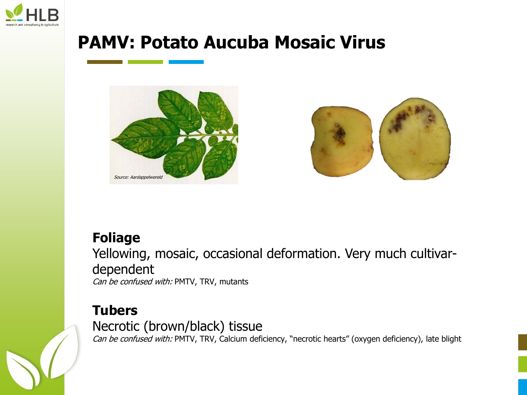

## **PAMV: Potato Aucuba Mosaic Virus**





#### **Foliage**

Yellowing, mosaic, occasional deformation. Very much cultivardependent Can be confused with: PMTV, TRV, mutants

#### **Tubers**

Necrotic (brown/black) tissue Can be confused with: PMTV, TRV, Calcium deficiency, "necrotic hearts" (oxygen deficiency), late blight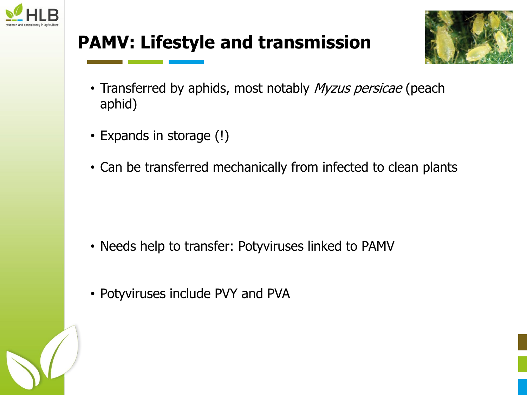

# **PAMV: Lifestyle and transmission**



- Transferred by aphids, most notably Myzus persicae (peach aphid)
- Expands in storage (!)
- Can be transferred mechanically from infected to clean plants

- Needs help to transfer: Potyviruses linked to PAMV
- Potyviruses include PVY and PVA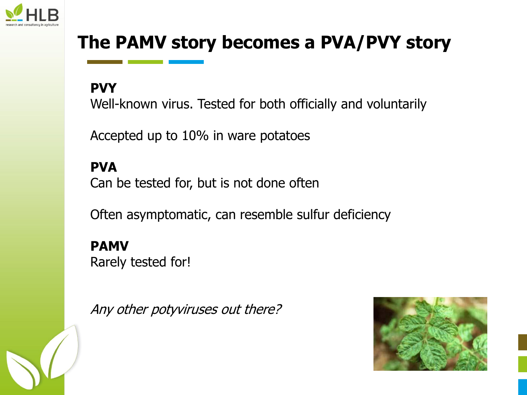

# **The PAMV story becomes a PVA/PVY story**

**PVY**

Well-known virus. Tested for both officially and voluntarily

Accepted up to 10% in ware potatoes

**PVA** Can be tested for, but is not done often

Often asymptomatic, can resemble sulfur deficiency

**PAMV** Rarely tested for!

Any other potyviruses out there?

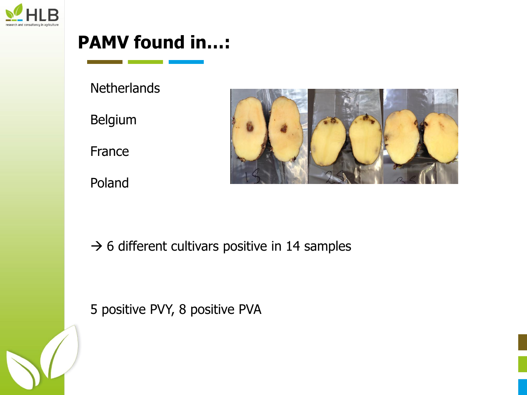

## **PAMV found in…:**

**Netherlands** 

Belgium

France

Poland



 $\rightarrow$  6 different cultivars positive in 14 samples

5 positive PVY, 8 positive PVA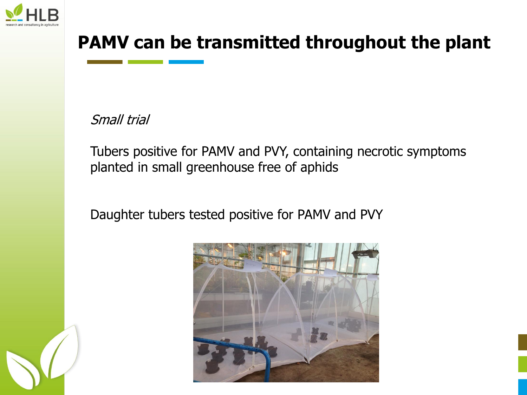

# **PAMV can be transmitted throughout the plant**

Small trial

Tubers positive for PAMV and PVY, containing necrotic symptoms planted in small greenhouse free of aphids

Daughter tubers tested positive for PAMV and PVY

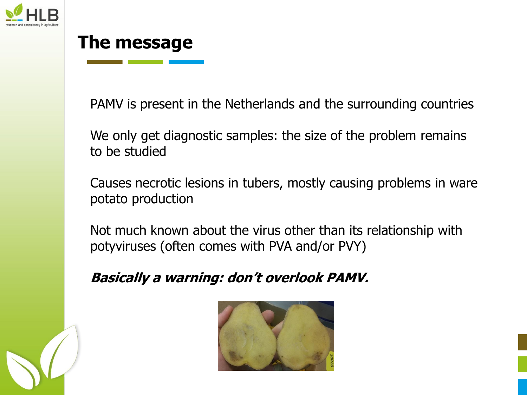

### **The message**

PAMV is present in the Netherlands and the surrounding countries

We only get diagnostic samples: the size of the problem remains to be studied

Causes necrotic lesions in tubers, mostly causing problems in ware potato production

Not much known about the virus other than its relationship with potyviruses (often comes with PVA and/or PVY)

#### **Basically a warning: don't overlook PAMV.**